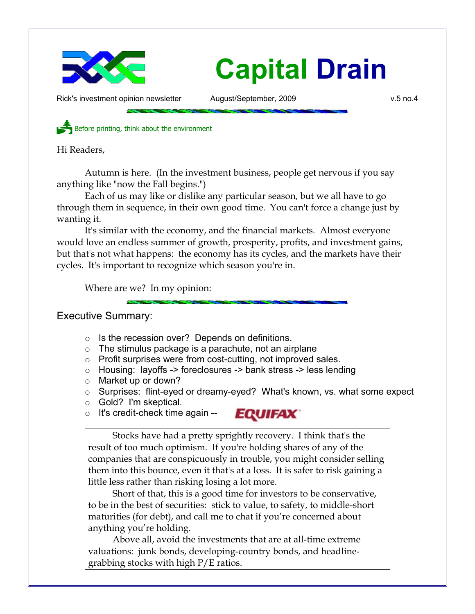

# **Capital Drain**

Rick's investment opinion newsletter  $\mu$  August/September, 2009  $\mu$  w.5 no.4

Before printing, think about the environment

Hi Readers,

Autumn is here. (In the investment business, people get nervous if you say anything like "now the Fall begins.")

Each of us may like or dislike any particular season, but we all have to go through them in sequence, in their own good time. You can't force a change just by wanting it.

It's similar with the economy, and the financial markets. Almost everyone would love an endless summer of growth, prosperity, profits, and investment gains, but that's not what happens: the economy has its cycles, and the markets have their cycles. It's important to recognize which season you're in.

Where are we? In my opinion:

## Executive Summary:

- Is the recession over? Depends on definitions.
- $\circ$  The stimulus package is a parachute, not an airplane
- Profit surprises were from cost-cutting, not improved sales.
- Housing: layoffs -> foreclosures -> bank stress -> less lending
- Market up or down?
- Surprises: flint-eyed or dreamy-eyed? What's known, vs. what some expect

**EQUIFAX** 

- Gold? I'm skeptical.
- $\circ$  It's credit-check time again --



Short of that, this is a good time for investors to be conservative, to be in the best of securities: stick to value, to safety, to middle-short maturities (for debt), and call me to chat if you're concerned about anything you're holding.

Above all, avoid the investments that are at all-time extreme valuations: junk bonds, developing-country bonds, and headlinegrabbing stocks with high P/E ratios.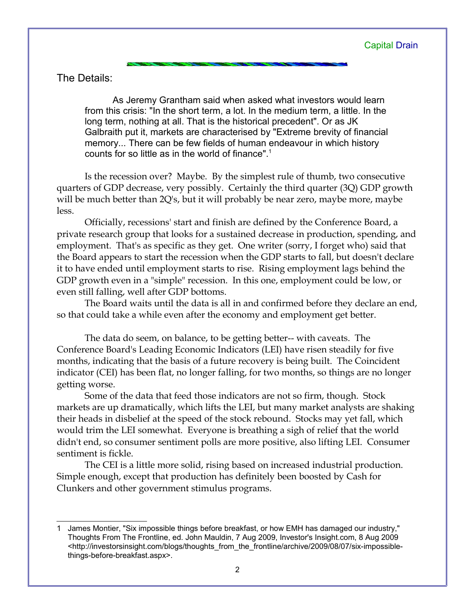The Details:

As Jeremy Grantham said when asked what investors would learn from this crisis: "In the short term, a lot. In the medium term, a little. In the long term, nothing at all. That is the historical precedent". Or as JK Galbraith put it, markets are characterised by "Extreme brevity of financial memory... There can be few fields of human endeavour in which history counts for so little as in the world of finance".[1](#page-1-0)

Is the recession over? Maybe. By the simplest rule of thumb, two consecutive quarters of GDP decrease, very possibly. Certainly the third quarter (3Q) GDP growth will be much better than 2Q's, but it will probably be near zero, maybe more, maybe less.

Officially, recessions' start and finish are defined by the Conference Board, a private research group that looks for a sustained decrease in production, spending, and employment. That's as specific as they get. One writer (sorry, I forget who) said that the Board appears to start the recession when the GDP starts to fall, but doesn't declare it to have ended until employment starts to rise. Rising employment lags behind the GDP growth even in a "simple" recession. In this one, employment could be low, or even still falling, well after GDP bottoms.

The Board waits until the data is all in and confirmed before they declare an end, so that could take a while even after the economy and employment get better.

The data do seem, on balance, to be getting better-- with caveats. The Conference Board's Leading Economic Indicators (LEI) have risen steadily for five months, indicating that the basis of a future recovery is being built. The Coincident indicator (CEI) has been flat, no longer falling, for two months, so things are no longer getting worse.

Some of the data that feed those indicators are not so firm, though. Stock markets are up dramatically, which lifts the LEI, but many market analysts are shaking their heads in disbelief at the speed of the stock rebound. Stocks may yet fall, which would trim the LEI somewhat. Everyone is breathing a sigh of relief that the world didn't end, so consumer sentiment polls are more positive, also lifting LEI. Consumer sentiment is fickle.

The CEI is a little more solid, rising based on increased industrial production. Simple enough, except that production has definitely been boosted by Cash for Clunkers and other government stimulus programs.

<span id="page-1-0"></span><sup>1</sup> James Montier, "Six impossible things before breakfast, or how EMH has damaged our industry," Thoughts From The Frontline, ed. John Mauldin, 7 Aug 2009, Investor's Insight.com, 8 Aug 2009 <http://investorsinsight.com/blogs/thoughts\_from\_the\_frontline/archive/2009/08/07/six-impossiblethings-before-breakfast.aspx>.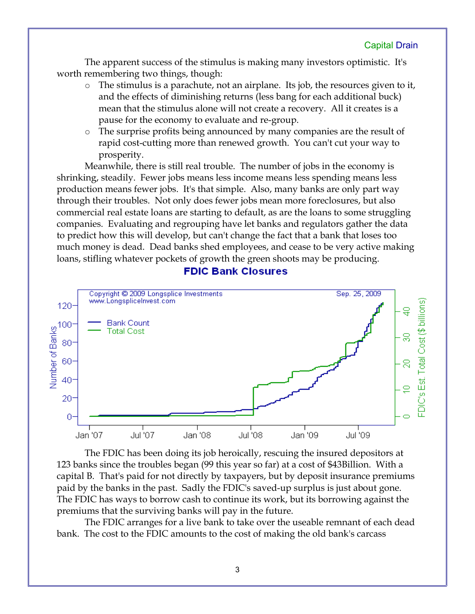The apparent success of the stimulus is making many investors optimistic. It's worth remembering two things, though:

- The stimulus is a parachute, not an airplane. Its job, the resources given to it, and the effects of diminishing returns (less bang for each additional buck) mean that the stimulus alone will not create a recovery. All it creates is a pause for the economy to evaluate and re-group.
- The surprise profits being announced by many companies are the result of rapid cost-cutting more than renewed growth. You can't cut your way to prosperity.

Meanwhile, there is still real trouble. The number of jobs in the economy is shrinking, steadily. Fewer jobs means less income means less spending means less production means fewer jobs. It's that simple. Also, many banks are only part way through their troubles. Not only does fewer jobs mean more foreclosures, but also commercial real estate loans are starting to default, as are the loans to some struggling companies. Evaluating and regrouping have let banks and regulators gather the data to predict how this will develop, but can't change the fact that a bank that loses too much money is dead. Dead banks shed employees, and cease to be very active making loans, stifling whatever pockets of growth the green shoots may be producing.

## **FDIC Bank Closures**



The FDIC has been doing its job heroically, rescuing the insured depositors at 123 banks since the troubles began (99 this year so far) at a cost of \$43Billion. With a capital B. That's paid for not directly by taxpayers, but by deposit insurance premiums paid by the banks in the past. Sadly the FDIC's saved-up surplus is just about gone. The FDIC has ways to borrow cash to continue its work, but its borrowing against the premiums that the surviving banks will pay in the future.

The FDIC arranges for a live bank to take over the useable remnant of each dead bank. The cost to the FDIC amounts to the cost of making the old bank's carcass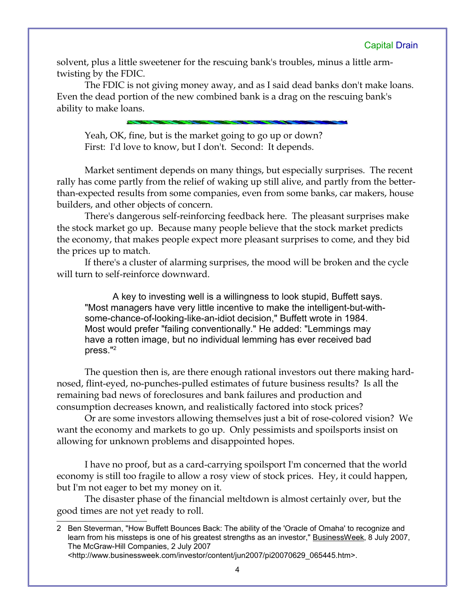#### Capital Drain

solvent, plus a little sweetener for the rescuing bank's troubles, minus a little armtwisting by the FDIC.

The FDIC is not giving money away, and as I said dead banks don't make loans. Even the dead portion of the new combined bank is a drag on the rescuing bank's ability to make loans.

Yeah, OK, fine, but is the market going to go up or down? First: I'd love to know, but I don't. Second: It depends.

Market sentiment depends on many things, but especially surprises. The recent rally has come partly from the relief of waking up still alive, and partly from the betterthan-expected results from some companies, even from some banks, car makers, house builders, and other objects of concern.

There's dangerous self-reinforcing feedback here. The pleasant surprises make the stock market go up. Because many people believe that the stock market predicts the economy, that makes people expect more pleasant surprises to come, and they bid the prices up to match.

If there's a cluster of alarming surprises, the mood will be broken and the cycle will turn to self-reinforce downward.

A key to investing well is a willingness to look stupid, Buffett says. "Most managers have very little incentive to make the intelligent-but-withsome-chance-of-looking-like-an-idiot decision," Buffett wrote in 1984. Most would prefer "failing conventionally." He added: "Lemmings may have a rotten image, but no individual lemming has ever received bad press."[2](#page-3-0)

The question then is, are there enough rational investors out there making hardnosed, flint-eyed, no-punches-pulled estimates of future business results? Is all the remaining bad news of foreclosures and bank failures and production and consumption decreases known, and realistically factored into stock prices?

Or are some investors allowing themselves just a bit of rose-colored vision? We want the economy and markets to go up. Only pessimists and spoilsports insist on allowing for unknown problems and disappointed hopes.

I have no proof, but as a card-carrying spoilsport I'm concerned that the world economy is still too fragile to allow a rosy view of stock prices. Hey, it could happen, but I'm not eager to bet my money on it.

The disaster phase of the financial meltdown is almost certainly over, but the good times are not yet ready to roll.

<http://www.businessweek.com/investor/content/jun2007/pi20070629\_065445.htm>.

<span id="page-3-0"></span><sup>2</sup> Ben Steverman, "How Buffett Bounces Back: The ability of the 'Oracle of Omaha' to recognize and learn from his missteps is one of his greatest strengths as an investor," **BusinessWeek**, 8 July 2007, The McGraw-Hill Companies, 2 July 2007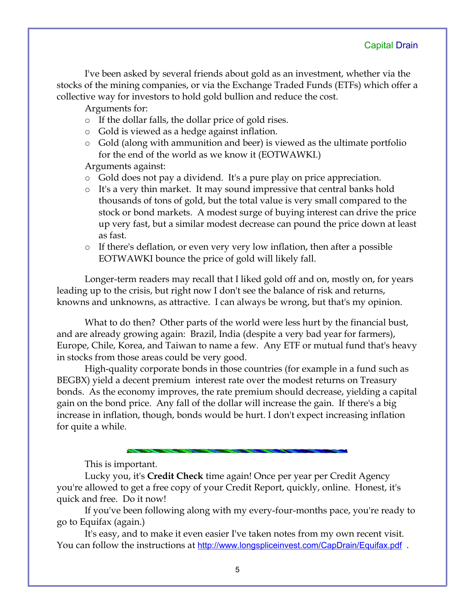I've been asked by several friends about gold as an investment, whether via the stocks of the mining companies, or via the Exchange Traded Funds (ETFs) which offer a collective way for investors to hold gold bullion and reduce the cost.

Arguments for:

- If the dollar falls, the dollar price of gold rises.
- Gold is viewed as a hedge against inflation.
- Gold (along with ammunition and beer) is viewed as the ultimate portfolio for the end of the world as we know it (EOTWAWKI.)

Arguments against:

- Gold does not pay a dividend. It's a pure play on price appreciation.
- It's a very thin market. It may sound impressive that central banks hold thousands of tons of gold, but the total value is very small compared to the stock or bond markets. A modest surge of buying interest can drive the price up very fast, but a similar modest decrease can pound the price down at least as fast.
- If there's deflation, or even very very low inflation, then after a possible EOTWAWKI bounce the price of gold will likely fall.

Longer-term readers may recall that I liked gold off and on, mostly on, for years leading up to the crisis, but right now I don't see the balance of risk and returns, knowns and unknowns, as attractive. I can always be wrong, but that's my opinion.

What to do then? Other parts of the world were less hurt by the financial bust, and are already growing again: Brazil, India (despite a very bad year for farmers), Europe, Chile, Korea, and Taiwan to name a few. Any ETF or mutual fund that's heavy in stocks from those areas could be very good.

High-quality corporate bonds in those countries (for example in a fund such as BEGBX) yield a decent premium interest rate over the modest returns on Treasury bonds. As the economy improves, the rate premium should decrease, yielding a capital gain on the bond price. Any fall of the dollar will increase the gain. If there's a big increase in inflation, though, bonds would be hurt. I don't expect increasing inflation for quite a while.

This is important.

Lucky you, it's **Credit Check** time again! Once per year per Credit Agency you're allowed to get a free copy of your Credit Report, quickly, online. Honest, it's quick and free. Do it now!

If you've been following along with my every-four-months pace, you're ready to go to Equifax (again.)

It's easy, and to make it even easier I've taken notes from my own recent visit. You can follow the instructions at <http://www.longspliceinvest.com/CapDrain/Equifax.pdf>.